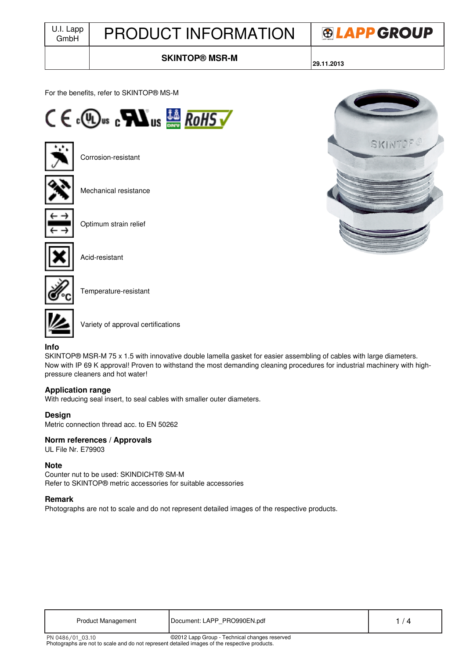# **SKINTOP® MSR-M**

**29.11.2013**

SKINI

For the benefits, refer to SKINTOP® MS-M





Corrosion-resistant



Mechanical resistance



Optimum strain relief



Acid-resistant



Temperature-resistant



Variety of approval certifications

# **Info**

SKINTOP® MSR-M 75 x 1.5 with innovative double lamella gasket for easier assembling of cables with large diameters. Now with IP 69 K approval! Proven to withstand the most demanding cleaning procedures for industrial machinery with highpressure cleaners and hot water!

# **Application range**

With reducing seal insert, to seal cables with smaller outer diameters.

#### **Design**

Metric connection thread acc. to EN 50262

#### **Norm references / Approvals**

UL File Nr. E79903

# **Note**

Counter nut to be used: SKINDICHT® SM-M Refer to SKINTOP® metric accessories for suitable accessories

# **Remark**

Photographs are not to scale and do not represent detailed images of the respective products.



| Product Management | Document: LAPP PRO990EN.pdf |  |
|--------------------|-----------------------------|--|
|--------------------|-----------------------------|--|

©2012 Lapp Group - Technical changes reserved Photographs are not to scale and do not represent detailed images of the respective products.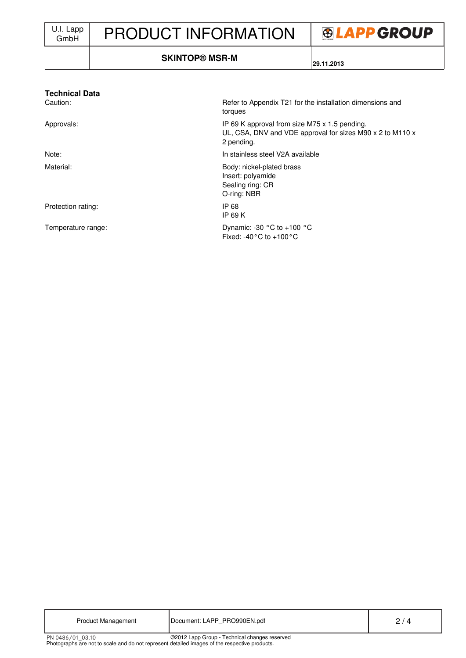# PRODUCT INFORMATION



# **SKINTOP® MSR-M**

**29.11.2013**

| <b>Technical Data</b> |                                                                                                                          |
|-----------------------|--------------------------------------------------------------------------------------------------------------------------|
| Caution:              | Refer to Appendix T21 for the installation dimensions and<br>torques                                                     |
| Approvals:            | IP 69 K approval from size M75 x 1.5 pending.<br>UL, CSA, DNV and VDE approval for sizes M90 x 2 to M110 x<br>2 pending. |
| Note:                 | In stainless steel V2A available                                                                                         |
| Material:             | Body: nickel-plated brass<br>Insert: polyamide<br>Sealing ring: CR<br>O-ring: NBR                                        |
| Protection rating:    | IP 68<br><b>IP 69 K</b>                                                                                                  |
| Temperature range:    | Dynamic: -30 $^{\circ}$ C to +100 $^{\circ}$ C<br>Fixed: -40 $^{\circ}$ C to +100 $^{\circ}$ C                           |

| PN 0486/01 03.10                                                                              | ©2012 Lapp Group - Technical changes reserved |  |
|-----------------------------------------------------------------------------------------------|-----------------------------------------------|--|
| Photographs are not to scale and do not represent detailed images of the respective products. |                                               |  |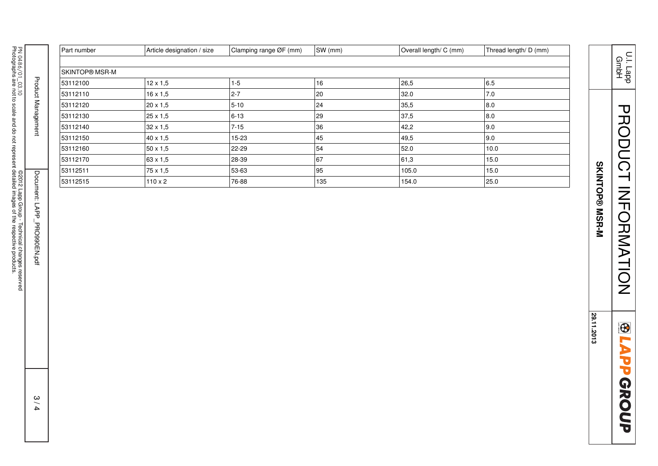|                                                                              | Part number    | Article designation / size | Clamping range ØF (mm) | SW (mm) | Overall length/ C (mm) | Thread length/ D (mm) |
|------------------------------------------------------------------------------|----------------|----------------------------|------------------------|---------|------------------------|-----------------------|
| PN 0486/01_03.10                                                             | SKINTOP® MSR-M |                            |                        |         |                        |                       |
|                                                                              | 53112100       | $12 \times 1,5$            | $1 - 5$                | 16      | 26,5                   | 6.5                   |
|                                                                              | 53112110       | $16 \times 1,5$            | $2 - 7$                | 20      | 32.0                   | 7.0                   |
| <b>Product Management</b>                                                    | 53112120       | 20 x 1,5                   | $5 - 10$               | 24      | 35,5                   | 8.0                   |
|                                                                              | 53112130       | 25 x 1,5                   | $6 - 13$               | 29      | 37,5                   | 8.0                   |
|                                                                              | 53112140       | $32\times1,5$              | $7 - 15$               | 36      | 42,2                   | 9.0                   |
|                                                                              | 53112150       | 40 x 1,5                   | $15-23$                | 45      | 49,5                   | 9.0                   |
|                                                                              | 53112160       | $50 \times 1,5$            | 22-29                  | 54      | 52.0                   | 10.0                  |
|                                                                              | 53112170       | 63 x 1,5                   | 28-39                  | 67      | 61,3                   | 15.0                  |
|                                                                              | 53112511       | 75 x 1,5                   | 53-63                  | 95      | 105.0                  | 15.0                  |
|                                                                              | 53112515       | $110 \times 2$             | 76-88                  | 135     | 154.0                  | 25.0                  |
| ©2012 Lapp Group - Technical changes reserved<br>Document: LAPP_PRO990EN.pdf |                |                            |                        |         |                        |                       |
| 3/4                                                                          |                |                            |                        |         |                        |                       |

PRODUCT INFORMATION PRODUCT INFORMATION SKINTOP® MSR-M **SKINTOP® MSR-M**

U.I. Lapp GmbH

**BLAPPGROUP**